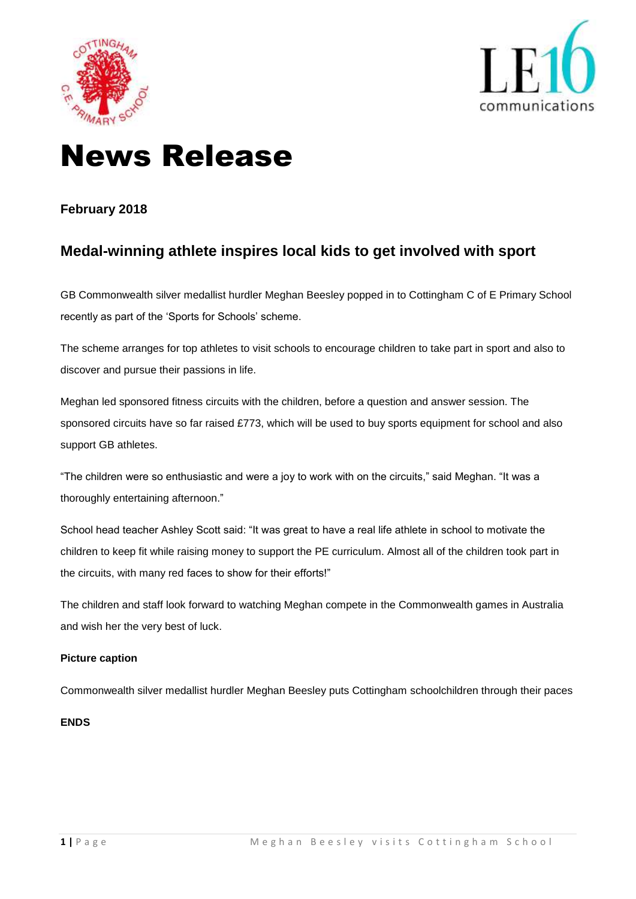



# News Release

### **February 2018**

## **Medal-winning athlete inspires local kids to get involved with sport**

GB Commonwealth silver medallist hurdler Meghan Beesley popped in to Cottingham C of E Primary School recently as part of the 'Sports for Schools' scheme.

The scheme arranges for top athletes to visit schools to encourage children to take part in sport and also to discover and pursue their passions in life.

Meghan led sponsored fitness circuits with the children, before a question and answer session. The sponsored circuits have so far raised £773, which will be used to buy sports equipment for school and also support GB athletes.

"The children were so enthusiastic and were a joy to work with on the circuits," said Meghan. "It was a thoroughly entertaining afternoon."

School head teacher Ashley Scott said: "It was great to have a real life athlete in school to motivate the children to keep fit while raising money to support the PE curriculum. Almost all of the children took part in the circuits, with many red faces to show for their efforts!"

The children and staff look forward to watching Meghan compete in the Commonwealth games in Australia and wish her the very best of luck.

#### **Picture caption**

Commonwealth silver medallist hurdler Meghan Beesley puts Cottingham schoolchildren through their paces

#### **ENDS**